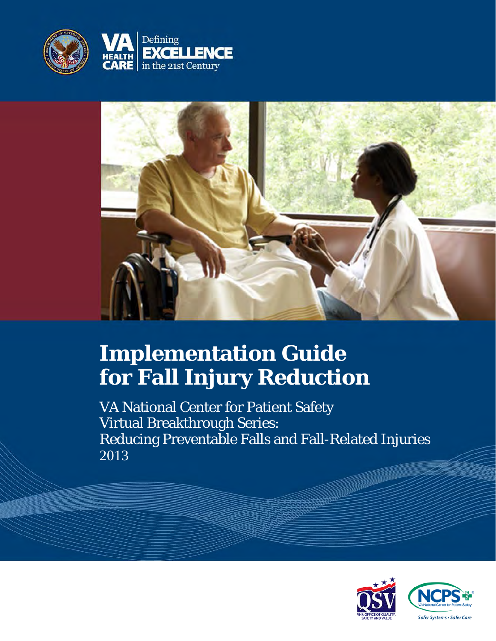



# **Implementation Guide for Fall Injury Reduction**

VA National Center for Patient Safety Virtual Breakthrough Series: Reducing Preventable Falls and Fall-Related Injuries 2013

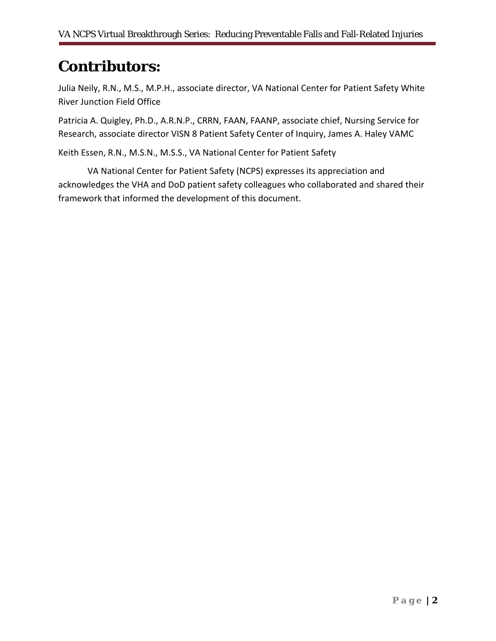## **Contributors:**

Julia Neily, R.N., M.S., M.P.H., associate director, VA National Center for Patient Safety White River Junction Field Office

Patricia A. Quigley, Ph.D., A.R.N.P., CRRN, FAAN, FAANP, associate chief, Nursing Service for Research, associate director VISN 8 Patient Safety Center of Inquiry, James A. Haley VAMC

Keith Essen, R.N., M.S.N., M.S.S., VA National Center for Patient Safety

VA National Center for Patient Safety (NCPS) expresses its appreciation and acknowledges the VHA and DoD patient safety colleagues who collaborated and shared their framework that informed the development of this document.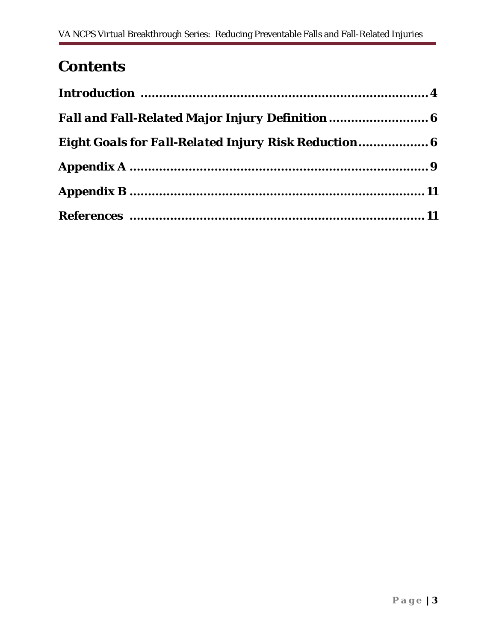# **Contents**

| <b>Fall and Fall-Related Major Injury Definition </b> 6     |  |
|-------------------------------------------------------------|--|
| <b>Eight Goals for Fall-Related Injury Risk Reduction 6</b> |  |
|                                                             |  |
|                                                             |  |
|                                                             |  |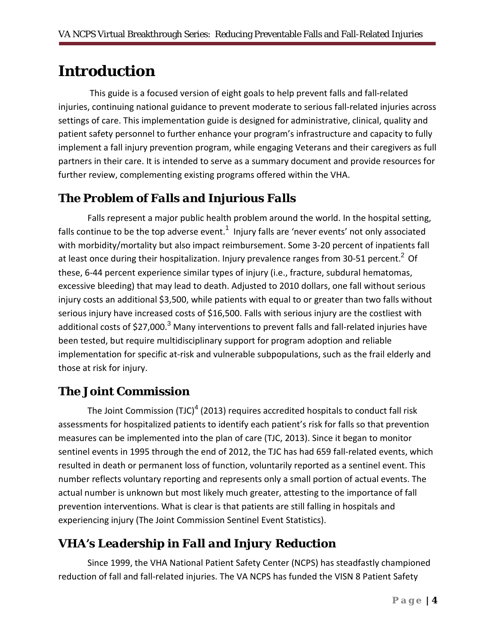## **Introduction**

 This guide is a focused version of eight goals to help prevent falls and fall-related injuries, continuing national guidance to prevent moderate to serious fall-related injuries across settings of care. This implementation guide is designed for administrative, clinical, quality and patient safety personnel to further enhance your program's infrastructure and capacity to fully implement a fall injury prevention program, while engaging Veterans and their caregivers as full partners in their care. It is intended to serve as a summary document and provide resources for further review, complementing existing programs offered within the VHA.

### *The Problem of Falls and Injurious Falls*

Falls represent a major public health problem around the world. In the hospital setting, falls continue to be the top adverse event.<sup>1</sup> Injury falls are 'never events' not only associated with morbidity/mortality but also impact reimbursement. Some 3-20 percent of inpatients fall at least once during their hospitalization. Injury prevalence ranges from 30-51 percent.<sup>2</sup> Of these, 6-44 percent experience similar types of injury (i.e., fracture, subdural hematomas, excessive bleeding) that may lead to death. Adjusted to 2010 dollars, one fall without serious injury costs an additional \$3,500, while patients with equal to or greater than two falls without serious injury have increased costs of \$16,500. Falls with serious injury are the costliest with additional costs of \$27,000.<sup>3</sup> Many interventions to prevent falls and fall-related injuries have been tested, but require multidisciplinary support for program adoption and reliable implementation for specific at-risk and vulnerable subpopulations, such as the frail elderly and those at risk for injury.

### *The Joint Commission*

The Joint Commission (TJC)<sup>4</sup> (2013) requires accredited hospitals to conduct fall risk assessments for hospitalized patients to identify each patient's risk for falls so that prevention measures can be implemented into the plan of care (TJC, 2013). Since it began to monitor sentinel events in 1995 through the end of 2012, the TJC has had 659 fall-related events, which resulted in death or permanent loss of function, voluntarily reported as a sentinel event. This number reflects voluntary reporting and represents only a small portion of actual events. The actual number is unknown but most likely much greater, attesting to the importance of fall prevention interventions. What is clear is that patients are still falling in hospitals and experiencing injury (The Joint Commission Sentinel Event Statistics).

### *VHA's Leadership in Fall and Injury Reduction*

Since 1999, the VHA National Patient Safety Center (NCPS) has steadfastly championed reduction of fall and fall-related injuries. The VA NCPS has funded the VISN 8 Patient Safety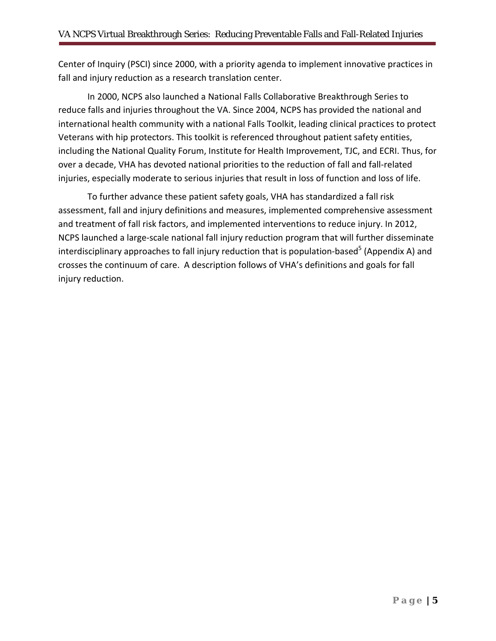Center of Inquiry (PSCI) since 2000, with a priority agenda to implement innovative practices in fall and injury reduction as a research translation center.

In 2000, NCPS also launched a National Falls Collaborative Breakthrough Series to reduce falls and injuries throughout the VA. Since 2004, NCPS has provided the national and international health community with a national Falls Toolkit, leading clinical practices to protect Veterans with hip protectors. This toolkit is referenced throughout patient safety entities, including the National Quality Forum, Institute for Health Improvement, TJC, and ECRI. Thus, for over a decade, VHA has devoted national priorities to the reduction of fall and fall-related injuries, especially moderate to serious injuries that result in loss of function and loss of life.

To further advance these patient safety goals, VHA has standardized a fall risk assessment, fall and injury definitions and measures, implemented comprehensive assessment and treatment of fall risk factors, and implemented interventions to reduce injury. In 2012, NCPS launched a large-scale national fall injury reduction program that will further disseminate interdisciplinary approaches to fall injury reduction that is population-based<sup>5</sup> (Appendix A) and crosses the continuum of care. A description follows of VHA's definitions and goals for fall injury reduction.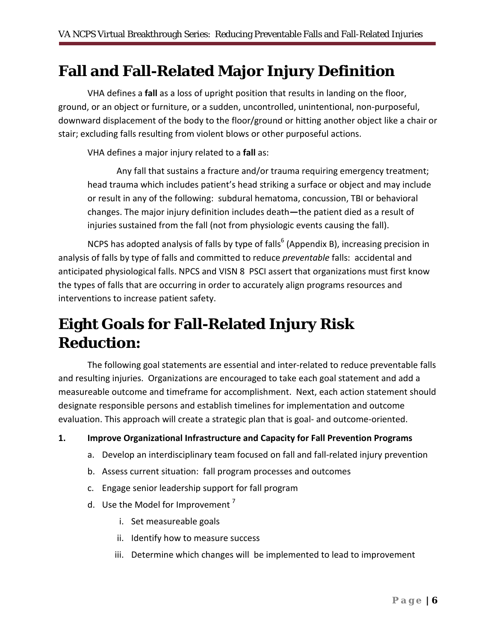### **Fall and Fall-Related Major Injury Definition**

VHA defines a **fall** as a loss of upright position that results in landing on the floor, ground, or an object or furniture, or a sudden, uncontrolled, unintentional, non-purposeful, downward displacement of the body to the floor/ground or hitting another object like a chair or stair; excluding falls resulting from violent blows or other purposeful actions.

VHA defines a major injury related to a **fall** as:

Any fall that sustains a fracture and/or trauma requiring emergency treatment; head trauma which includes patient's head striking a surface or object and may include or result in any of the following: subdural hematoma, concussion, TBI or behavioral changes. The major injury definition includes death**—**the patient died as a result of injuries sustained from the fall (not from physiologic events causing the fall).

NCPS has adopted analysis of falls by type of falls<sup>6</sup> (Appendix B), increasing precision in analysis of falls by type of falls and committed to reduce *preventable* falls: accidental and anticipated physiological falls. NPCS and VISN 8 PSCI assert that organizations must first know the types of falls that are occurring in order to accurately align programs resources and interventions to increase patient safety.

# **Eight Goals for Fall-Related Injury Risk Reduction:**

The following goal statements are essential and inter-related to reduce preventable falls and resulting injuries. Organizations are encouraged to take each goal statement and add a measureable outcome and timeframe for accomplishment. Next, each action statement should designate responsible persons and establish timelines for implementation and outcome evaluation. This approach will create a strategic plan that is goal- and outcome-oriented.

**1. Improve Organizational Infrastructure and Capacity for Fall Prevention Programs** 

- a. Develop an interdisciplinary team focused on fall and fall-related injury prevention
- b. Assess current situation: fall program processes and outcomes
- c. Engage senior leadership support for fall program
- d. Use the Model for Improvement<sup>7</sup>
	- i. Set measureable goals
	- ii. Identify how to measure success
	- iii. Determine which changes will be implemented to lead to improvement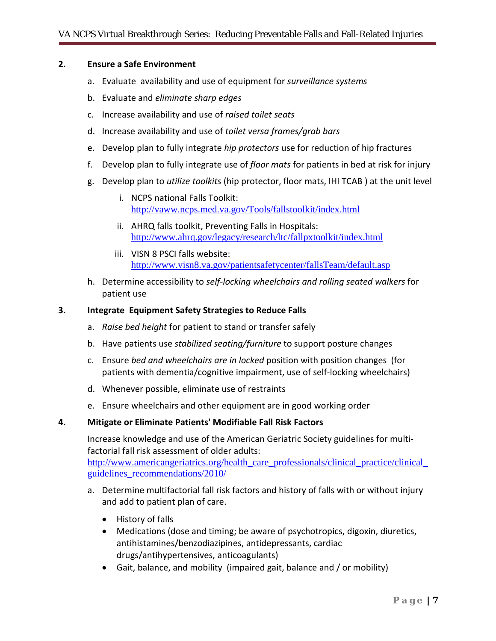#### **2. Ensure a Safe Environment**

- a. Evaluate availability and use of equipment for *surveillance systems*
- b. Evaluate and *eliminate sharp edges*
- c. Increase availability and use of *raised toilet seats*
- d. Increase availability and use of *toilet versa frames/grab bars*
- e. Develop plan to fully integrate *hip protectors* use for reduction of hip fractures
- f. Develop plan to fully integrate use of *floor mats* for patients in bed at risk for injury
- g. Develop plan to *utilize toolkits* (hip protector, floor mats, IHI TCAB ) at the unit level
	- i. NCPS national Falls Toolkit: <http://vaww.ncps.med.va.gov/Tools/fallstoolkit/index.html>
	- ii. AHRQ falls toolkit, Preventing Falls in Hospitals: <http://www.ahrq.gov/legacy/research/ltc/fallpxtoolkit/index.html>
	- iii. VISN 8 PSCI falls website: <http://www.visn8.va.gov/patientsafetycenter/fallsTeam/default.asp>
- h. Determine accessibility to *self-locking wheelchairs and rolling seated walkers* for patient use

#### **3. Integrate Equipment Safety Strategies to Reduce Falls**

- a. *Raise bed height* for patient to stand or transfer safely
- b. Have patients use *stabilized seating/furniture* to support posture changes
- c. Ensure *bed and wheelchairs are in locked* position with position changes (for patients with dementia/cognitive impairment, use of self-locking wheelchairs)
- d. Whenever possible, eliminate use of restraints
- e. Ensure wheelchairs and other equipment are in good working order

#### **4. Mitigate or Eliminate Patients' Modifiable Fall Risk Factors**

Increase knowledge and use of the American Geriatric Society guidelines for multifactorial fall risk assessment of older adults: http://www.americangeriatrics.org/health\_care\_professionals/clinical\_practice/clinical\_

[guidelines\\_recommendations/2010/](http://www.americangeriatrics.org/health_care_professionals/clinical_practice/clinical_%20guidelines_recommendations/2010/)

- a. Determine multifactorial fall risk factors and history of falls with or without injury and add to patient plan of care.
	- History of falls
	- Medications (dose and timing; be aware of psychotropics, digoxin, diuretics, antihistamines/benzodiazipines, antidepressants, cardiac drugs/antihypertensives, anticoagulants)
	- Gait, balance, and mobility (impaired gait, balance and / or mobility)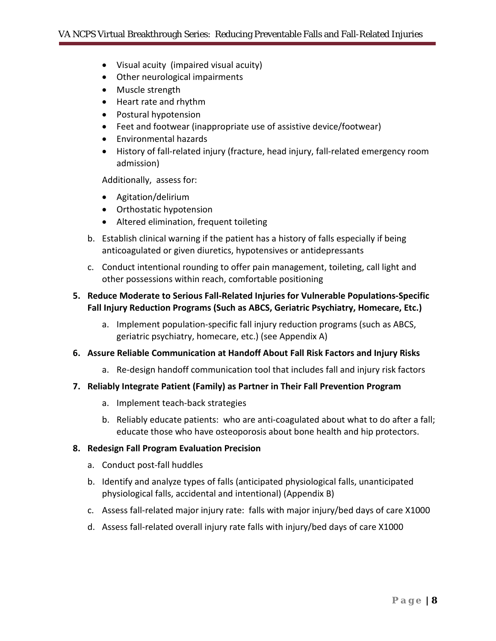- Visual acuity (impaired visual acuity)
- Other neurological impairments
- Muscle strength
- Heart rate and rhythm
- Postural hypotension
- Feet and footwear (inappropriate use of assistive device/footwear)
- Environmental hazards
- History of fall-related injury (fracture, head injury, fall-related emergency room admission)

Additionally, assess for:

- Agitation/delirium
- Orthostatic hypotension
- Altered elimination, frequent toileting
- b. Establish clinical warning if the patient has a history of falls especially if being anticoagulated or given diuretics, hypotensives or antidepressants
- c. Conduct intentional rounding to offer pain management, toileting, call light and other possessions within reach, comfortable positioning

#### **5. Reduce Moderate to Serious Fall-Related Injuries for Vulnerable Populations-Specific Fall Injury Reduction Programs (Such as ABCS, Geriatric Psychiatry, Homecare, Etc.)**

a. Implement population-specific fall injury reduction programs (such as ABCS, geriatric psychiatry, homecare, etc.) (see Appendix A)

#### **6. Assure Reliable Communication at Handoff About Fall Risk Factors and Injury Risks**

a. Re-design handoff communication tool that includes fall and injury risk factors

#### **7. Reliably Integrate Patient (Family) as Partner in Their Fall Prevention Program**

- a. Implement teach-back strategies
- b. Reliably educate patients: who are anti-coagulated about what to do after a fall; educate those who have osteoporosis about bone health and hip protectors.

#### **8. Redesign Fall Program Evaluation Precision**

- a. Conduct post-fall huddles
- b. Identify and analyze types of falls (anticipated physiological falls, unanticipated physiological falls, accidental and intentional) (Appendix B)
- c. Assess fall-related major injury rate: falls with major injury/bed days of care X1000
- d. Assess fall-related overall injury rate falls with injury/bed days of care X1000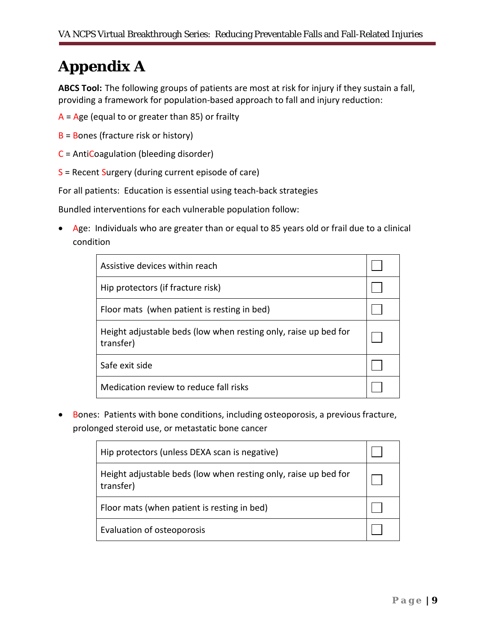# **Appendix A**

**ABCS Tool:** The following groups of patients are most at risk for injury if they sustain a fall, providing a framework for population-based approach to fall and injury reduction:

- $A = Age$  (equal to or greater than 85) or frailty
- B = Bones (fracture risk or history)
- C = AntiCoagulation (bleeding disorder)
- $S$  = Recent Surgery (during current episode of care)

For all patients: Education is essential using teach-back strategies

Bundled interventions for each vulnerable population follow:

• Age: Individuals who are greater than or equal to 85 years old or frail due to a clinical condition

| Assistive devices within reach                                               |  |
|------------------------------------------------------------------------------|--|
| Hip protectors (if fracture risk)                                            |  |
| Floor mats (when patient is resting in bed)                                  |  |
| Height adjustable beds (low when resting only, raise up bed for<br>transfer) |  |
| Safe exit side                                                               |  |
| Medication review to reduce fall risks                                       |  |

• Bones: Patients with bone conditions, including osteoporosis, a previous fracture, prolonged steroid use, or metastatic bone cancer

| Hip protectors (unless DEXA scan is negative)                                |  |
|------------------------------------------------------------------------------|--|
| Height adjustable beds (low when resting only, raise up bed for<br>transfer) |  |
| Floor mats (when patient is resting in bed)                                  |  |
| Evaluation of osteoporosis                                                   |  |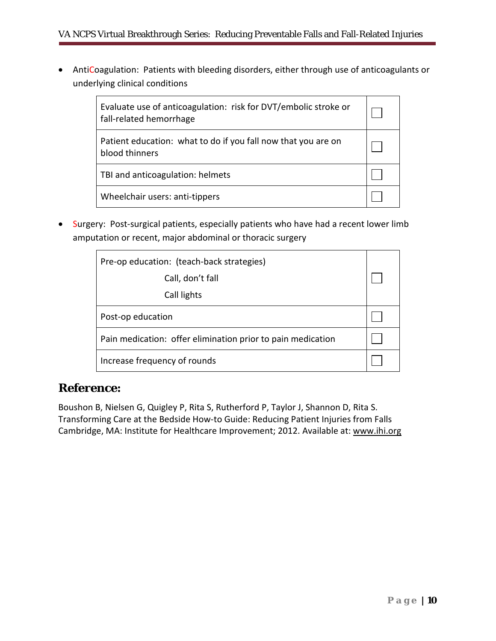• AntiCoagulation: Patients with bleeding disorders, either through use of anticoagulants or underlying clinical conditions

| Evaluate use of anticoagulation: risk for DVT/embolic stroke or<br>fall-related hemorrhage |  |
|--------------------------------------------------------------------------------------------|--|
| Patient education: what to do if you fall now that you are on<br>blood thinners            |  |
| TBI and anticoagulation: helmets                                                           |  |
| Wheelchair users: anti-tippers                                                             |  |

• Surgery: Post-surgical patients, especially patients who have had a recent lower limb amputation or recent, major abdominal or thoracic surgery

| Pre-op education: (teach-back strategies)<br>Call, don't fall |  |
|---------------------------------------------------------------|--|
| Call lights                                                   |  |
| Post-op education                                             |  |
| Pain medication: offer elimination prior to pain medication   |  |
| Increase frequency of rounds                                  |  |

### *Reference:*

Boushon B, Nielsen G, Quigley P, Rita S, Rutherford P, Taylor J, Shannon D, Rita S. Transforming Care at the Bedside How-to Guide: Reducing Patient Injuries from Falls Cambridge, MA: Institute for Healthcare Improvement; 2012. Available at: [www.ihi.org](http://www.ihi.org/)